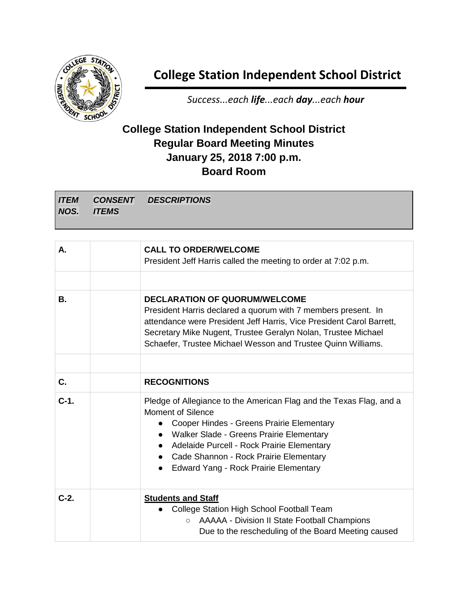

## **College Station Independent School District**

*Success...each life...each day...each hour*

## **College Station Independent School District Regular Board Meeting Minutes January 25, 2018 7:00 p.m. Board Room**

|            | <b>ITEM CONSENT DESCRIPTIONS</b> |
|------------|----------------------------------|
| NOS. ITEMS |                                  |

| А.     | <b>CALL TO ORDER/WELCOME</b><br>President Jeff Harris called the meeting to order at 7:02 p.m.                                                                                                                                                                                                                                                            |
|--------|-----------------------------------------------------------------------------------------------------------------------------------------------------------------------------------------------------------------------------------------------------------------------------------------------------------------------------------------------------------|
| В.     | <b>DECLARATION OF QUORUM/WELCOME</b><br>President Harris declared a quorum with 7 members present. In<br>attendance were President Jeff Harris, Vice President Carol Barrett,<br>Secretary Mike Nugent, Trustee Geralyn Nolan, Trustee Michael<br>Schaefer, Trustee Michael Wesson and Trustee Quinn Williams.                                            |
| C.     | <b>RECOGNITIONS</b>                                                                                                                                                                                                                                                                                                                                       |
| $C-1.$ | Pledge of Allegiance to the American Flag and the Texas Flag, and a<br><b>Moment of Silence</b><br>Cooper Hindes - Greens Prairie Elementary<br>$\bullet$<br>• Walker Slade - Greens Prairie Elementary<br>• Adelaide Purcell - Rock Prairie Elementary<br>• Cade Shannon - Rock Prairie Elementary<br>Edward Yang - Rock Prairie Elementary<br>$\bullet$ |
| $C-2.$ | <b>Students and Staff</b><br>College Station High School Football Team<br>○ AAAAA - Division II State Football Champions<br>Due to the rescheduling of the Board Meeting caused                                                                                                                                                                           |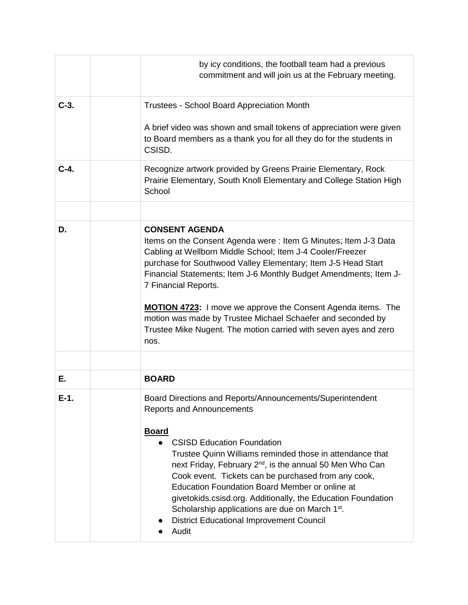|        | by icy conditions, the football team had a previous<br>commitment and will join us at the February meeting.                                                                                                                                                                                                                                                                                                                                                                                                                                                                          |
|--------|--------------------------------------------------------------------------------------------------------------------------------------------------------------------------------------------------------------------------------------------------------------------------------------------------------------------------------------------------------------------------------------------------------------------------------------------------------------------------------------------------------------------------------------------------------------------------------------|
| $C-3.$ | Trustees - School Board Appreciation Month                                                                                                                                                                                                                                                                                                                                                                                                                                                                                                                                           |
|        | A brief video was shown and small tokens of appreciation were given<br>to Board members as a thank you for all they do for the students in<br>CSISD.                                                                                                                                                                                                                                                                                                                                                                                                                                 |
| $C-4.$ | Recognize artwork provided by Greens Prairie Elementary, Rock<br>Prairie Elementary, South Knoll Elementary and College Station High<br>School                                                                                                                                                                                                                                                                                                                                                                                                                                       |
|        |                                                                                                                                                                                                                                                                                                                                                                                                                                                                                                                                                                                      |
| D.     | <b>CONSENT AGENDA</b><br>Items on the Consent Agenda were: Item G Minutes; Item J-3 Data<br>Cabling at Wellborn Middle School; Item J-4 Cooler/Freezer<br>purchase for Southwood Valley Elementary; Item J-5 Head Start<br>Financial Statements; Item J-6 Monthly Budget Amendments; Item J-<br>7 Financial Reports.<br><b>MOTION 4723:</b> I move we approve the Consent Agenda items. The<br>motion was made by Trustee Michael Schaefer and seconded by<br>Trustee Mike Nugent. The motion carried with seven ayes and zero<br>nos.                                               |
|        | <b>BOARD</b>                                                                                                                                                                                                                                                                                                                                                                                                                                                                                                                                                                         |
| Е.     |                                                                                                                                                                                                                                                                                                                                                                                                                                                                                                                                                                                      |
| E-1.   | Board Directions and Reports/Announcements/Superintendent<br><b>Reports and Announcements</b><br><b>Board</b><br><b>CSISD Education Foundation</b><br>Trustee Quinn Williams reminded those in attendance that<br>next Friday, February 2 <sup>nd</sup> , is the annual 50 Men Who Can<br>Cook event. Tickets can be purchased from any cook,<br><b>Education Foundation Board Member or online at</b><br>givetokids.csisd.org. Additionally, the Education Foundation<br>Scholarship applications are due on March 1st.<br><b>District Educational Improvement Council</b><br>Audit |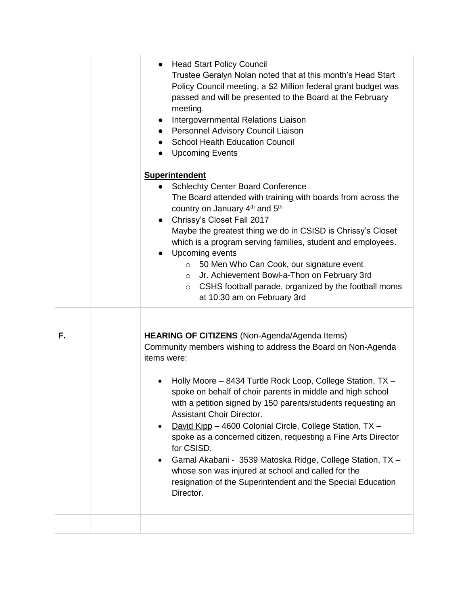|    | <b>Head Start Policy Council</b><br>$\bullet$<br>Trustee Geralyn Nolan noted that at this month's Head Start<br>Policy Council meeting, a \$2 Million federal grant budget was<br>passed and will be presented to the Board at the February<br>meeting.<br>Intergovernmental Relations Liaison<br>Personnel Advisory Council Liaison<br><b>School Health Education Council</b><br><b>Upcoming Events</b><br><b>Superintendent</b><br><b>Schlechty Center Board Conference</b><br>The Board attended with training with boards from across the<br>country on January 4 <sup>th</sup> and 5 <sup>th</sup><br>Chrissy's Closet Fall 2017<br>$\bullet$<br>Maybe the greatest thing we do in CSISD is Chrissy's Closet<br>which is a program serving families, student and employees.<br>Upcoming events<br>50 Men Who Can Cook, our signature event<br>$\circ$ |
|----|------------------------------------------------------------------------------------------------------------------------------------------------------------------------------------------------------------------------------------------------------------------------------------------------------------------------------------------------------------------------------------------------------------------------------------------------------------------------------------------------------------------------------------------------------------------------------------------------------------------------------------------------------------------------------------------------------------------------------------------------------------------------------------------------------------------------------------------------------------|
|    | Jr. Achievement Bowl-a-Thon on February 3rd<br>$\circ$<br>CSHS football parade, organized by the football moms<br>$\circ$<br>at 10:30 am on February 3rd                                                                                                                                                                                                                                                                                                                                                                                                                                                                                                                                                                                                                                                                                                   |
|    |                                                                                                                                                                                                                                                                                                                                                                                                                                                                                                                                                                                                                                                                                                                                                                                                                                                            |
| F. | <b>HEARING OF CITIZENS</b> (Non-Agenda/Agenda Items)<br>Community members wishing to address the Board on Non-Agenda<br>items were:<br>Holly Moore - 8434 Turtle Rock Loop, College Station, TX -<br>spoke on behalf of choir parents in middle and high school<br>with a petition signed by 150 parents/students requesting an<br><b>Assistant Choir Director.</b><br>David Kipp - 4600 Colonial Circle, College Station, TX -<br>spoke as a concerned citizen, requesting a Fine Arts Director<br>for CSISD.<br>Gamal Akabani - 3539 Matoska Ridge, College Station, TX -<br>whose son was injured at school and called for the<br>resignation of the Superintendent and the Special Education<br>Director.                                                                                                                                              |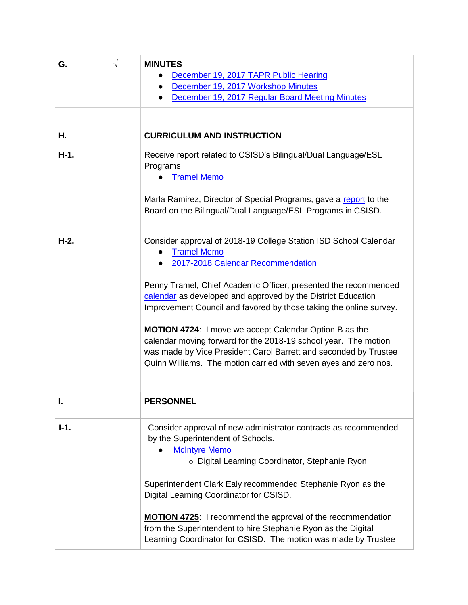| G.     | $\sqrt{}$ | <b>MINUTES</b>                                                                                                                                                                                                                                                           |
|--------|-----------|--------------------------------------------------------------------------------------------------------------------------------------------------------------------------------------------------------------------------------------------------------------------------|
|        |           | December 19, 2017 TAPR Public Hearing                                                                                                                                                                                                                                    |
|        |           | December 19, 2017 Workshop Minutes<br>$\bullet$                                                                                                                                                                                                                          |
|        |           | December 19, 2017 Regular Board Meeting Minutes                                                                                                                                                                                                                          |
|        |           |                                                                                                                                                                                                                                                                          |
| Н.     |           | <b>CURRICULUM AND INSTRUCTION</b>                                                                                                                                                                                                                                        |
| $H-1.$ |           | Receive report related to CSISD's Bilingual/Dual Language/ESL<br>Programs<br><b>Tramel Memo</b>                                                                                                                                                                          |
|        |           | Marla Ramirez, Director of Special Programs, gave a report to the<br>Board on the Bilingual/Dual Language/ESL Programs in CSISD.                                                                                                                                         |
| $H-2.$ |           | Consider approval of 2018-19 College Station ISD School Calendar<br><b>Tramel Memo</b><br>2017-2018 Calendar Recommendation                                                                                                                                              |
|        |           | Penny Tramel, Chief Academic Officer, presented the recommended<br>calendar as developed and approved by the District Education<br>Improvement Council and favored by those taking the online survey.                                                                    |
|        |           | <b>MOTION 4724:</b> I move we accept Calendar Option B as the<br>calendar moving forward for the 2018-19 school year. The motion<br>was made by Vice President Carol Barrett and seconded by Trustee<br>Quinn Williams. The motion carried with seven ayes and zero nos. |
|        |           |                                                                                                                                                                                                                                                                          |
|        |           | <b>PERSONNEL</b>                                                                                                                                                                                                                                                         |
| $I-1.$ |           | Consider approval of new administrator contracts as recommended<br>by the Superintendent of Schools.<br><b>McIntyre Memo</b><br>o Digital Learning Coordinator, Stephanie Ryon                                                                                           |
|        |           | Superintendent Clark Ealy recommended Stephanie Ryon as the<br>Digital Learning Coordinator for CSISD.                                                                                                                                                                   |
|        |           | <b>MOTION 4725:</b> I recommend the approval of the recommendation<br>from the Superintendent to hire Stephanie Ryon as the Digital<br>Learning Coordinator for CSISD. The motion was made by Trustee                                                                    |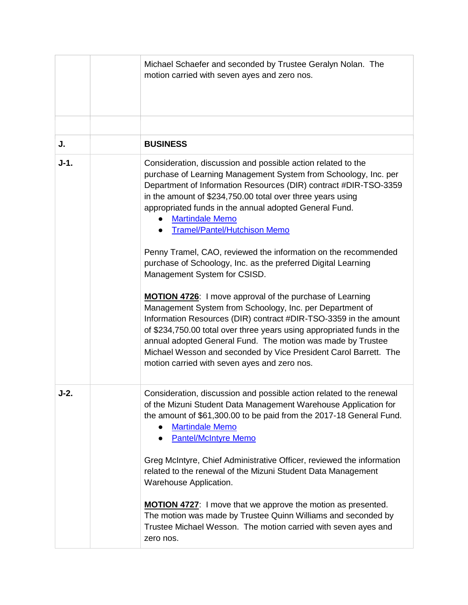|        | Michael Schaefer and seconded by Trustee Geralyn Nolan. The<br>motion carried with seven ayes and zero nos.                                                                                                                                                                                                                                                                                                                                                                                                                                                                                                                                                                             |
|--------|-----------------------------------------------------------------------------------------------------------------------------------------------------------------------------------------------------------------------------------------------------------------------------------------------------------------------------------------------------------------------------------------------------------------------------------------------------------------------------------------------------------------------------------------------------------------------------------------------------------------------------------------------------------------------------------------|
|        |                                                                                                                                                                                                                                                                                                                                                                                                                                                                                                                                                                                                                                                                                         |
| J.     | <b>BUSINESS</b>                                                                                                                                                                                                                                                                                                                                                                                                                                                                                                                                                                                                                                                                         |
| $J-1.$ | Consideration, discussion and possible action related to the<br>purchase of Learning Management System from Schoology, Inc. per<br>Department of Information Resources (DIR) contract #DIR-TSO-3359<br>in the amount of \$234,750.00 total over three years using<br>appropriated funds in the annual adopted General Fund.<br><b>Martindale Memo</b><br><b>Tramel/Pantel/Hutchison Memo</b><br>Penny Tramel, CAO, reviewed the information on the recommended<br>purchase of Schoology, Inc. as the preferred Digital Learning<br>Management System for CSISD.<br>MOTION 4726: I move approval of the purchase of Learning<br>Management System from Schoology, Inc. per Department of |
|        | Information Resources (DIR) contract #DIR-TSO-3359 in the amount<br>of \$234,750.00 total over three years using appropriated funds in the<br>annual adopted General Fund. The motion was made by Trustee<br>Michael Wesson and seconded by Vice President Carol Barrett. The<br>motion carried with seven ayes and zero nos.                                                                                                                                                                                                                                                                                                                                                           |
| $J-2.$ | Consideration, discussion and possible action related to the renewal<br>of the Mizuni Student Data Management Warehouse Application for<br>the amount of \$61,300.00 to be paid from the 2017-18 General Fund.<br><b>Martindale Memo</b><br><b>Pantel/McIntyre Memo</b><br>$\bullet$                                                                                                                                                                                                                                                                                                                                                                                                    |
|        | Greg McIntyre, Chief Administrative Officer, reviewed the information<br>related to the renewal of the Mizuni Student Data Management<br>Warehouse Application.                                                                                                                                                                                                                                                                                                                                                                                                                                                                                                                         |
|        | <b>MOTION 4727:</b> I move that we approve the motion as presented.<br>The motion was made by Trustee Quinn Williams and seconded by<br>Trustee Michael Wesson. The motion carried with seven ayes and<br>zero nos.                                                                                                                                                                                                                                                                                                                                                                                                                                                                     |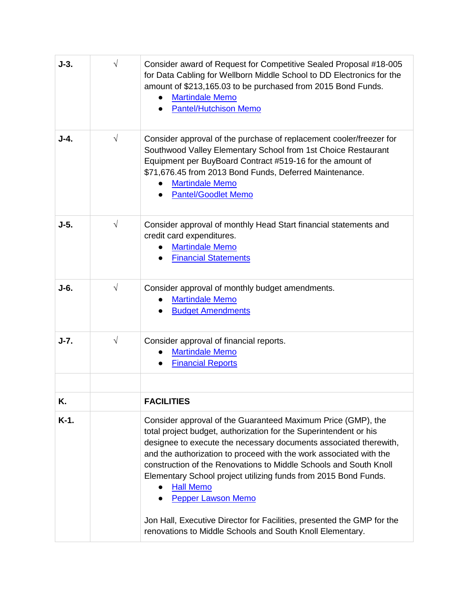| $J-3.$  | $\sqrt{}$ | Consider award of Request for Competitive Sealed Proposal #18-005<br>for Data Cabling for Wellborn Middle School to DD Electronics for the<br>amount of \$213,165.03 to be purchased from 2015 Bond Funds.<br><b>Martindale Memo</b><br><b>Pantel/Hutchison Memo</b>                                                                                                                                                                                                                                                                            |
|---------|-----------|-------------------------------------------------------------------------------------------------------------------------------------------------------------------------------------------------------------------------------------------------------------------------------------------------------------------------------------------------------------------------------------------------------------------------------------------------------------------------------------------------------------------------------------------------|
| $J-4.$  | $\sqrt{}$ | Consider approval of the purchase of replacement cooler/freezer for<br>Southwood Valley Elementary School from 1st Choice Restaurant<br>Equipment per BuyBoard Contract #519-16 for the amount of<br>\$71,676.45 from 2013 Bond Funds, Deferred Maintenance.<br><b>Martindale Memo</b><br><b>Pantel/Goodlet Memo</b>                                                                                                                                                                                                                            |
| $J-5.$  | $\sqrt{}$ | Consider approval of monthly Head Start financial statements and<br>credit card expenditures.<br><b>Martindale Memo</b><br><b>Financial Statements</b>                                                                                                                                                                                                                                                                                                                                                                                          |
| $J-6.$  | $\sqrt{}$ | Consider approval of monthly budget amendments.<br><b>Martindale Memo</b><br><b>Budget Amendments</b>                                                                                                                                                                                                                                                                                                                                                                                                                                           |
| $J-7.$  | $\sqrt{}$ | Consider approval of financial reports.<br><b>Martindale Memo</b><br><b>Financial Reports</b>                                                                                                                                                                                                                                                                                                                                                                                                                                                   |
| Κ.      |           | <b>FACILITIES</b>                                                                                                                                                                                                                                                                                                                                                                                                                                                                                                                               |
| $K-1$ . |           | Consider approval of the Guaranteed Maximum Price (GMP), the<br>total project budget, authorization for the Superintendent or his<br>designee to execute the necessary documents associated therewith,<br>and the authorization to proceed with the work associated with the<br>construction of the Renovations to Middle Schools and South Knoll<br>Elementary School project utilizing funds from 2015 Bond Funds.<br><b>Hall Memo</b><br><b>Pepper Lawson Memo</b><br>Jon Hall, Executive Director for Facilities, presented the GMP for the |
|         |           | renovations to Middle Schools and South Knoll Elementary.                                                                                                                                                                                                                                                                                                                                                                                                                                                                                       |